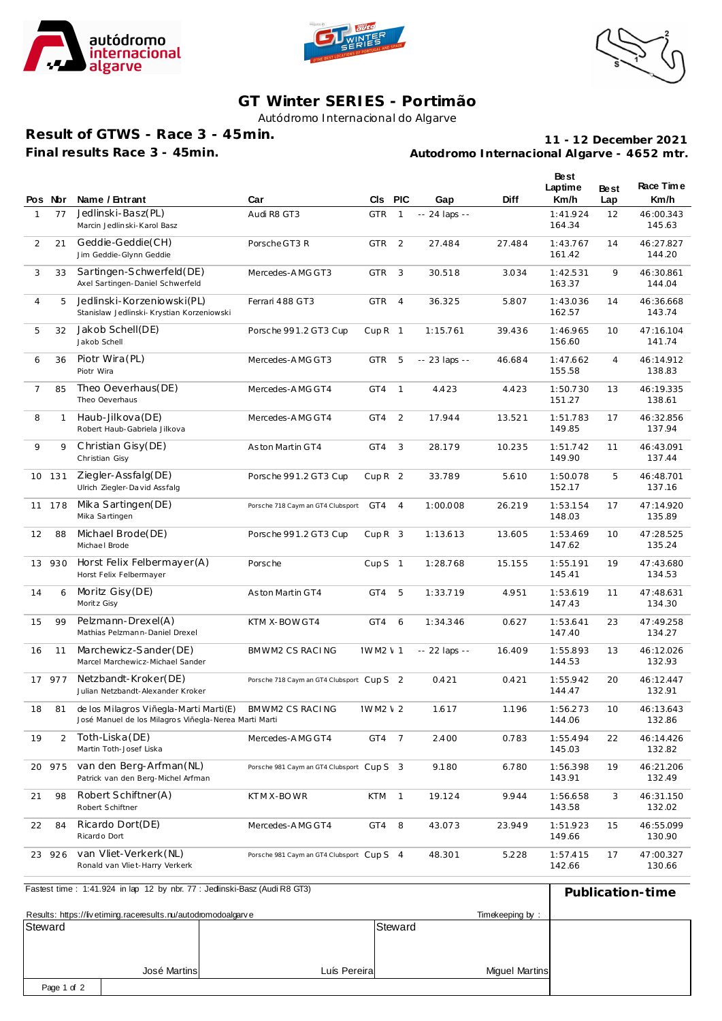





## **GT Winter SERIES - Portimão**

Autódromo Internacional do Algarve

**Result of GTWS - Race 3 - 45min. Final results Race 3 - 45min.**

**Autodromo Internacional Algarve - 4652 mtr. 11 - 12 December 2021**

|                | Pos Nor        | Name / Entrant                                                                                  | Car                                       | <b>CIs</b>        | <b>PIC</b>     | Gap            | Diff   | Best<br>Laptime<br>Km/h | <b>Best</b><br>Lap | Race Time<br>Km/h   |
|----------------|----------------|-------------------------------------------------------------------------------------------------|-------------------------------------------|-------------------|----------------|----------------|--------|-------------------------|--------------------|---------------------|
| $\mathbf{1}$   | 77             | Jedlinski-Basz(PL)<br>Marcin Jedlinski-Karol Basz                                               | Audi R8 GT3                               | <b>GTR</b>        | $\mathbf{1}$   | $-24$ laps $-$ |        | 1:41.924<br>164.34      | 12                 | 46:00.343<br>145.63 |
| 2              | 21             | Geddie-Geddie(CH)<br>Jim Geddie-Glynn Geddie                                                    | Porsche GT3 R                             | <b>GTR</b>        | 2              | 27.484         | 27.484 | 1:43.767<br>161.42      | 14                 | 46:27.827<br>144.20 |
| 3              | 33             | Sartingen-Schwerfeld(DE)<br>Axel Sartingen-Daniel Schwerfeld                                    | Mercedes-AMG GT3                          | <b>GTR</b>        | 3              | 30.518         | 3.034  | 1:42.531<br>163.37      | 9                  | 46:30.861<br>144.04 |
| 4              | 5              | Jedlinski-Korzeniowski(PL)<br>Stanislaw Jedlinski- Krystian Korzeniowski                        | Ferrari 488 GT3                           | <b>GTR</b>        | $\overline{4}$ | 36.325         | 5.807  | 1:43.036<br>162.57      | 14                 | 46:36.668<br>143.74 |
| 5              | 32             | Jakob Schell(DE)<br>Jakob Schell                                                                | Porsche 991.2 GT3 Cup                     | CupR <sub>1</sub> |                | 1:15.761       | 39.436 | 1:46.965<br>156.60      | 10                 | 47:16.104<br>141.74 |
| 6              | 36             | Piotr Wira (PL)<br>Piotr Wira                                                                   | Mercedes-AMG GT3                          | <b>GTR</b>        | 5              | -- 23 laps --  | 46.684 | 1:47.662<br>155.58      | 4                  | 46:14.912<br>138.83 |
| $\overline{7}$ | 85             | Theo Oeverhaus(DE)<br>Theo Oeverhaus                                                            | Mercedes-AMG GT4                          | GT4               | $\mathbf{1}$   | 4.423          | 4.423  | 1:50.730<br>151.27      | 13                 | 46:19.335<br>138.61 |
| 8              | $\mathbf{1}$   | Haub-Jilkova (DE)<br>Robert Haub-Gabriela Jilkova                                               | Mercedes-AMG GT4                          | GT4               | 2              | 17.944         | 13.521 | 1:51.783<br>149.85      | 17                 | 46:32.856<br>137.94 |
| 9              | 9              | Christian Gisy(DE)<br>Christian Gisy                                                            | As ton Martin GT4                         | GT4               | 3              | 28.179         | 10.235 | 1:51.742<br>149.90      | 11                 | 46:43.091<br>137.44 |
| 10             | 131            | Ziegler-Assfalg(DE)<br>Ulrich Ziegler-David Assfalg                                             | Porsche 991.2 GT3 Cup                     | CupR <sub>2</sub> |                | 33.789         | 5.610  | 1:50.078<br>152.17      | 5                  | 46:48.701<br>137.16 |
| 11             | 178            | Mika Sartingen(DE)<br>Mika Sartingen                                                            | Porsche 718 Caym an GT4 Clubsport         | GT4               | $\overline{4}$ | 1:00.008       | 26.219 | 1:53.154<br>148.03      | 17                 | 47:14.920<br>135.89 |
| 12             | 88             | Michael Brode(DE)<br>Michael Brode                                                              | Porsche 991.2 GT3 Cup                     | CupR <sub>3</sub> |                | 1:13.613       | 13.605 | 1:53.469<br>147.62      | 10                 | 47:28.525<br>135.24 |
| 13             | 930            | Horst Felix Felbermayer(A)<br>Horst Felix Felbermayer                                           | Porsche                                   | Cup $S$ 1         |                | 1:28.768       | 15.155 | 1:55.191<br>145.41      | 19                 | 47:43.680<br>134.53 |
| 14             | 6              | Moritz Gisy (DE)<br>Moritz Gisy                                                                 | Aston Martin GT4                          | GT4               | 5              | 1:33.719       | 4.951  | 1:53.619<br>147.43      | 11                 | 47:48.631<br>134.30 |
| 15             | 99             | Pelzmann-Drexel(A)<br>Mathias Pelzmann-Daniel Drexel                                            | KTM X-BOW GT4                             | GT4               | 6              | 1:34.346       | 0.627  | 1:53.641<br>147.40      | 23                 | 47:49.258<br>134.27 |
| 16             | 11             | Marchewicz-Sander (DE)<br>Marcel Marchewicz-Michael Sander                                      | BMWM2 CS RACING                           | <b>IWM2 \ 1</b>   |                | -- 22 laps --  | 16.409 | 1:55.893<br>144.53      | 13                 | 46:12.026<br>132.93 |
| 17             | 977            | Netzbandt-Kroker(DE)<br>Julian Netzbandt-Alexander Kroker                                       | Porsche 718 Caym an GT4 Clubsport Cup S 2 |                   |                | 0.421          | 0.421  | 1:55.942<br>144.47      | 20                 | 46:12.447<br>132.91 |
| 18             | 81             | de los Milagros Viñegla-Marti Marti(E)<br>José Manuel de los Milagros Viñegla-Nerea Marti Marti | BMWM2 CS RACING                           | IWM2 \ 2          |                | 1.617          | 1.196  | 1:56.273<br>144.06      | 10                 | 46:13.643<br>132.86 |
| 19             | $\overline{2}$ | Toth-Liska (DE)<br>Martin Toth-Josef Liska                                                      | Mercedes-AMG GT4                          | GT4               | $\overline{7}$ | 2.400          | 0.783  | 1:55.494<br>145.03      | 22                 | 46:14.426<br>132.82 |
| 20             | 975            | van den Berg-Arfman(NL)<br>Patrick van den Berg-Michel Arfman                                   | Porsche 981 Caym an GT4 Clubsport Cup S 3 |                   |                | 9.180          | 6.780  | 1:56.398<br>143.91      | 19                 | 46:21.206<br>132.49 |
| 21             | 98             | Robert Schiftner(A)<br>Robert Schiftner                                                         | KTM X-BOWR                                | <b>KTM</b>        | $\mathbf{1}$   | 19.124         | 9.944  | 1:56.658<br>143.58      | 3                  | 46:31.150<br>132.02 |
| 22             | 84             | Ricardo Dort(DE)<br>Ricardo Dort                                                                | Mercedes-AMG GT4                          | GT4               | 8              | 43.073         | 23.949 | 1:51.923<br>149.66      | 15                 | 46:55.099<br>130.90 |
| 23             | 926            | van Vliet-Verkerk (NL)<br>Ronald van Vliet-Harry Verkerk                                        | Porsche 981 Caym an GT4 Clubsport Cun S 4 |                   |                | 48.301         | 5.228  | 1:57.415<br>142.66      | 17                 | 47:00.327<br>130.66 |
|                |                | Fastest time: 1:41.924 in lap 12 by nbr. 77 : Jedinski-Basz (Audi R8 GT3)                       |                                           |                   |                |                |        |                         |                    | Publication-time    |

| Fastest time: 1:41.924 in lap 12 by nbr. 77: Jedinski-Basz (Audi R8 GT3) | Publication-time |              |                       |  |
|--------------------------------------------------------------------------|------------------|--------------|-----------------------|--|
| Results: https://livetiming.raceresults.nu/autodromodoalgarve            |                  |              |                       |  |
| Steward                                                                  |                  |              | Steward               |  |
|                                                                          |                  |              |                       |  |
|                                                                          |                  |              |                       |  |
|                                                                          | José Martins     | Luís Pereira | <b>Miquel Martins</b> |  |
| Page 1 of 2                                                              |                  |              |                       |  |